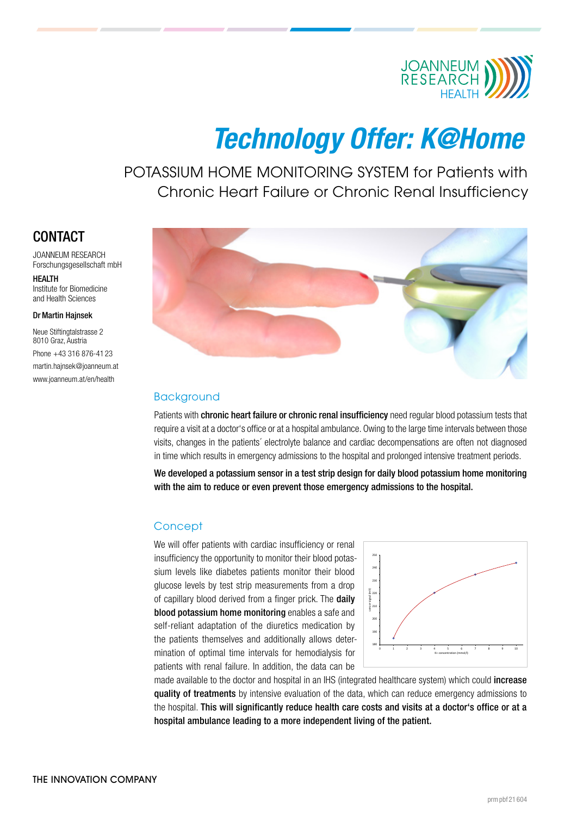

# Technology Offer: K@Home

POTASSIUM HOME MONITORING SYSTEM for Patients with Chronic Heart Failure or Chronic Renal Insufficiency

# **CONTACT**

JOANNEUM RESEARCH Forschungsgesellschaft mbH **HEALTH** 

Institute for Biomedicine and Health Sciences

#### Dr Martin Hajnsek

Neue Stiftingtalstrasse 2 8010 Graz, Austria Phone +43 316 876-41 23 [martin.hajnsek@joanneum.at](mailto:martin.hajnsek%20%40%20joanneum.at?subject=) [www.joanneum.at/en/health](https://www.joanneum.at/en/health)



### Background

Patients with chronic heart failure or chronic renal insufficiency need regular blood potassium tests that require a visit at a doctor's office or at a hospital ambulance. Owing to the large time intervals between those visits, changes in the patients´ electrolyte balance and cardiac decompensations are often not diagnosed in time which results in emergency admissions to the hospital and prolonged intensive treatment periods.

We developed a potassium sensor in a test strip design for daily blood potassium home monitoring with the aim to reduce or even prevent those emergency admissions to the hospital.

#### **Concept**

We will offer patients with cardiac insufficiency or renal insufficiency the opportunity to monitor their blood potassium levels like diabetes patients monitor their blood glucose levels by test strip measurements from a drop of capillary blood derived from a finger prick. The daily blood potassium home monitoring enables a safe and self-reliant adaptation of the diuretics medication by the patients themselves and additionally allows determination of optimal time intervals for hemodialysis for patients with renal failure. In addition, the data can be



made available to the doctor and hospital in an IHS (integrated healthcare system) which could increase quality of treatments by intensive evaluation of the data, which can reduce emergency admissions to the hospital. This will significantly reduce health care costs and visits at a doctor's office or at a hospital ambulance leading to a more independent living of the patient.